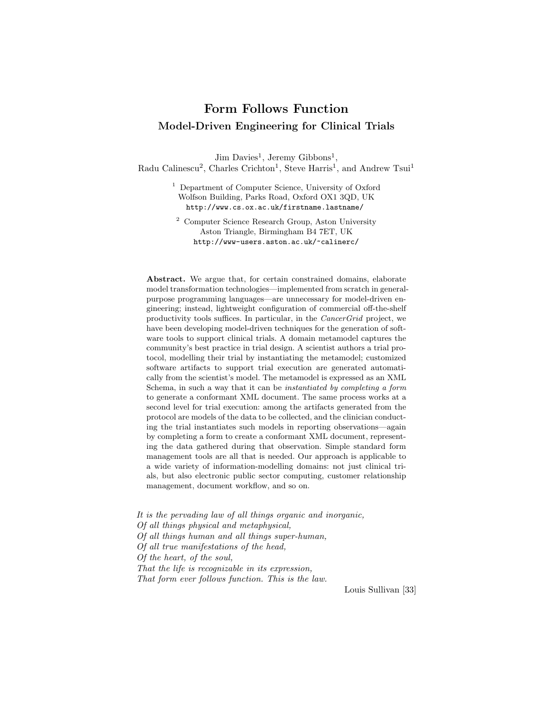# Form Follows Function Model-Driven Engineering for Clinical Trials

 $\text{Jim Davies}^1$ , Jeremy Gibbons<sup>1</sup>, Radu Calinescu<sup>2</sup>, Charles Crichton<sup>1</sup>, Steve Harris<sup>1</sup>, and Andrew Tsui<sup>1</sup>

> <sup>1</sup> Department of Computer Science, University of Oxford Wolfson Building, Parks Road, Oxford OX1 3QD, UK http://www.cs.ox.ac.uk/firstname.lastname/

<sup>2</sup> Computer Science Research Group, Aston University Aston Triangle, Birmingham B4 7ET, UK http://www-users.aston.ac.uk/~calinerc/

Abstract. We argue that, for certain constrained domains, elaborate model transformation technologies—implemented from scratch in generalpurpose programming languages—are unnecessary for model-driven engineering; instead, lightweight configuration of commercial off-the-shelf productivity tools suffices. In particular, in the CancerGrid project, we have been developing model-driven techniques for the generation of software tools to support clinical trials. A domain metamodel captures the community's best practice in trial design. A scientist authors a trial protocol, modelling their trial by instantiating the metamodel; customized software artifacts to support trial execution are generated automatically from the scientist's model. The metamodel is expressed as an XML Schema, in such a way that it can be instantiated by completing a form to generate a conformant XML document. The same process works at a second level for trial execution: among the artifacts generated from the protocol are models of the data to be collected, and the clinician conducting the trial instantiates such models in reporting observations—again by completing a form to create a conformant XML document, representing the data gathered during that observation. Simple standard form management tools are all that is needed. Our approach is applicable to a wide variety of information-modelling domains: not just clinical trials, but also electronic public sector computing, customer relationship management, document workflow, and so on.

It is the pervading law of all things organic and inorganic, Of all things physical and metaphysical, Of all things human and all things super-human, Of all true manifestations of the head, Of the heart, of the soul, That the life is recognizable in its expression, That form ever follows function. This is the law.

Louis Sullivan [33]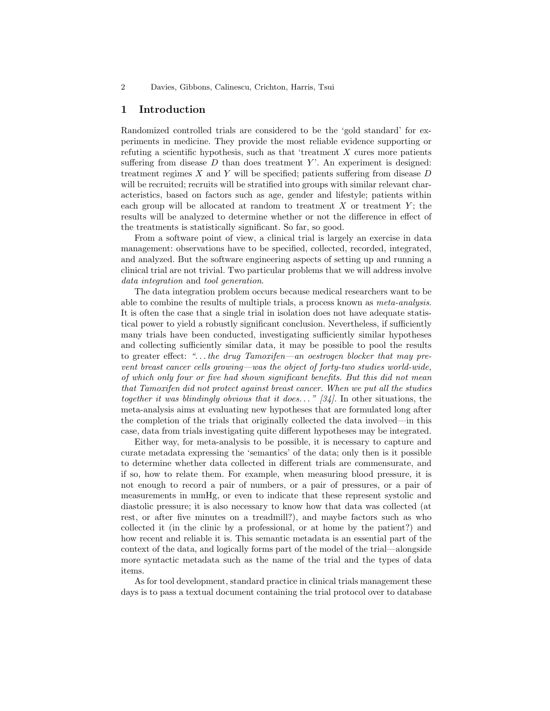## 1 Introduction

Randomized controlled trials are considered to be the 'gold standard' for experiments in medicine. They provide the most reliable evidence supporting or refuting a scientific hypothesis, such as that 'treatment  $X$  cures more patients suffering from disease  $D$  than does treatment  $Y'$ . An experiment is designed: treatment regimes  $X$  and  $Y$  will be specified; patients suffering from disease  $D$ will be recruited; recruits will be stratified into groups with similar relevant characteristics, based on factors such as age, gender and lifestyle; patients within each group will be allocated at random to treatment  $X$  or treatment  $Y$ ; the results will be analyzed to determine whether or not the difference in effect of the treatments is statistically significant. So far, so good.

From a software point of view, a clinical trial is largely an exercise in data management: observations have to be specified, collected, recorded, integrated, and analyzed. But the software engineering aspects of setting up and running a clinical trial are not trivial. Two particular problems that we will address involve data integration and tool generation.

The data integration problem occurs because medical researchers want to be able to combine the results of multiple trials, a process known as meta-analysis. It is often the case that a single trial in isolation does not have adequate statistical power to yield a robustly significant conclusion. Nevertheless, if sufficiently many trials have been conducted, investigating sufficiently similar hypotheses and collecting sufficiently similar data, it may be possible to pool the results to greater effect: "... the drug Tamoxifen—an oestrogen blocker that may prevent breast cancer cells growing—was the object of forty-two studies world-wide, of which only four or five had shown significant benefits. But this did not mean that Tamoxifen did not protect against breast cancer. When we put all the studies together it was blindingly obvious that it does..." [34]. In other situations, the meta-analysis aims at evaluating new hypotheses that are formulated long after the completion of the trials that originally collected the data involved—in this case, data from trials investigating quite different hypotheses may be integrated.

Either way, for meta-analysis to be possible, it is necessary to capture and curate metadata expressing the 'semantics' of the data; only then is it possible to determine whether data collected in different trials are commensurate, and if so, how to relate them. For example, when measuring blood pressure, it is not enough to record a pair of numbers, or a pair of pressures, or a pair of measurements in mmHg, or even to indicate that these represent systolic and diastolic pressure; it is also necessary to know how that data was collected (at rest, or after five minutes on a treadmill?), and maybe factors such as who collected it (in the clinic by a professional, or at home by the patient?) and how recent and reliable it is. This semantic metadata is an essential part of the context of the data, and logically forms part of the model of the trial—alongside more syntactic metadata such as the name of the trial and the types of data items.

As for tool development, standard practice in clinical trials management these days is to pass a textual document containing the trial protocol over to database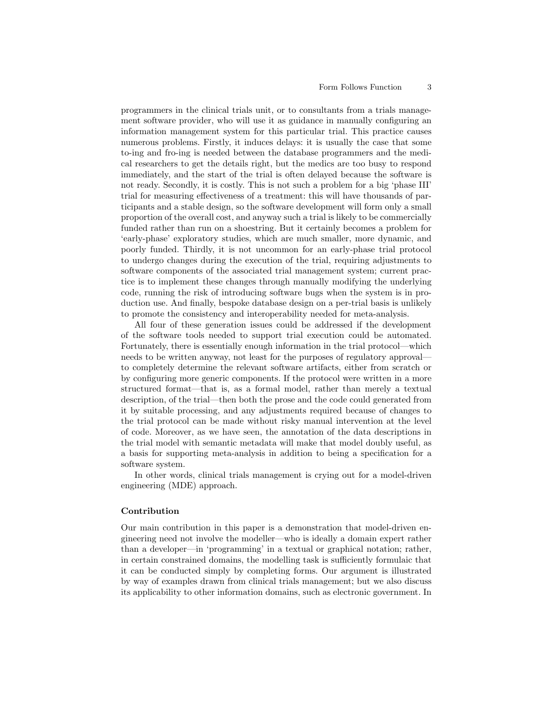programmers in the clinical trials unit, or to consultants from a trials management software provider, who will use it as guidance in manually configuring an information management system for this particular trial. This practice causes numerous problems. Firstly, it induces delays: it is usually the case that some to-ing and fro-ing is needed between the database programmers and the medical researchers to get the details right, but the medics are too busy to respond immediately, and the start of the trial is often delayed because the software is not ready. Secondly, it is costly. This is not such a problem for a big 'phase III' trial for measuring effectiveness of a treatment: this will have thousands of participants and a stable design, so the software development will form only a small proportion of the overall cost, and anyway such a trial is likely to be commercially funded rather than run on a shoestring. But it certainly becomes a problem for 'early-phase' exploratory studies, which are much smaller, more dynamic, and poorly funded. Thirdly, it is not uncommon for an early-phase trial protocol to undergo changes during the execution of the trial, requiring adjustments to software components of the associated trial management system; current practice is to implement these changes through manually modifying the underlying code, running the risk of introducing software bugs when the system is in production use. And finally, bespoke database design on a per-trial basis is unlikely to promote the consistency and interoperability needed for meta-analysis.

All four of these generation issues could be addressed if the development of the software tools needed to support trial execution could be automated. Fortunately, there is essentially enough information in the trial protocol—which needs to be written anyway, not least for the purposes of regulatory approval to completely determine the relevant software artifacts, either from scratch or by configuring more generic components. If the protocol were written in a more structured format—that is, as a formal model, rather than merely a textual description, of the trial—then both the prose and the code could generated from it by suitable processing, and any adjustments required because of changes to the trial protocol can be made without risky manual intervention at the level of code. Moreover, as we have seen, the annotation of the data descriptions in the trial model with semantic metadata will make that model doubly useful, as a basis for supporting meta-analysis in addition to being a specification for a software system.

In other words, clinical trials management is crying out for a model-driven engineering (MDE) approach.

### Contribution

Our main contribution in this paper is a demonstration that model-driven engineering need not involve the modeller—who is ideally a domain expert rather than a developer—in 'programming' in a textual or graphical notation; rather, in certain constrained domains, the modelling task is sufficiently formulaic that it can be conducted simply by completing forms. Our argument is illustrated by way of examples drawn from clinical trials management; but we also discuss its applicability to other information domains, such as electronic government. In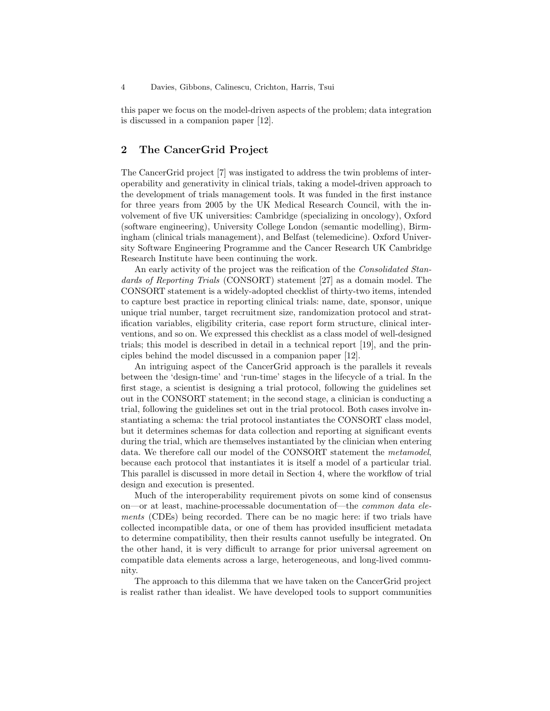this paper we focus on the model-driven aspects of the problem; data integration is discussed in a companion paper [12].

# 2 The CancerGrid Project

The CancerGrid project [7] was instigated to address the twin problems of interoperability and generativity in clinical trials, taking a model-driven approach to the development of trials management tools. It was funded in the first instance for three years from 2005 by the UK Medical Research Council, with the involvement of five UK universities: Cambridge (specializing in oncology), Oxford (software engineering), University College London (semantic modelling), Birmingham (clinical trials management), and Belfast (telemedicine). Oxford University Software Engineering Programme and the Cancer Research UK Cambridge Research Institute have been continuing the work.

An early activity of the project was the reification of the *Consolidated Stan*dards of Reporting Trials (CONSORT) statement [27] as a domain model. The CONSORT statement is a widely-adopted checklist of thirty-two items, intended to capture best practice in reporting clinical trials: name, date, sponsor, unique unique trial number, target recruitment size, randomization protocol and stratification variables, eligibility criteria, case report form structure, clinical interventions, and so on. We expressed this checklist as a class model of well-designed trials; this model is described in detail in a technical report [19], and the principles behind the model discussed in a companion paper [12].

An intriguing aspect of the CancerGrid approach is the parallels it reveals between the 'design-time' and 'run-time' stages in the lifecycle of a trial. In the first stage, a scientist is designing a trial protocol, following the guidelines set out in the CONSORT statement; in the second stage, a clinician is conducting a trial, following the guidelines set out in the trial protocol. Both cases involve instantiating a schema: the trial protocol instantiates the CONSORT class model, but it determines schemas for data collection and reporting at significant events during the trial, which are themselves instantiated by the clinician when entering data. We therefore call our model of the CONSORT statement the metamodel, because each protocol that instantiates it is itself a model of a particular trial. This parallel is discussed in more detail in Section 4, where the workflow of trial design and execution is presented.

Much of the interoperability requirement pivots on some kind of consensus on—or at least, machine-processable documentation of—the common data elements (CDEs) being recorded. There can be no magic here: if two trials have collected incompatible data, or one of them has provided insufficient metadata to determine compatibility, then their results cannot usefully be integrated. On the other hand, it is very difficult to arrange for prior universal agreement on compatible data elements across a large, heterogeneous, and long-lived community.

The approach to this dilemma that we have taken on the CancerGrid project is realist rather than idealist. We have developed tools to support communities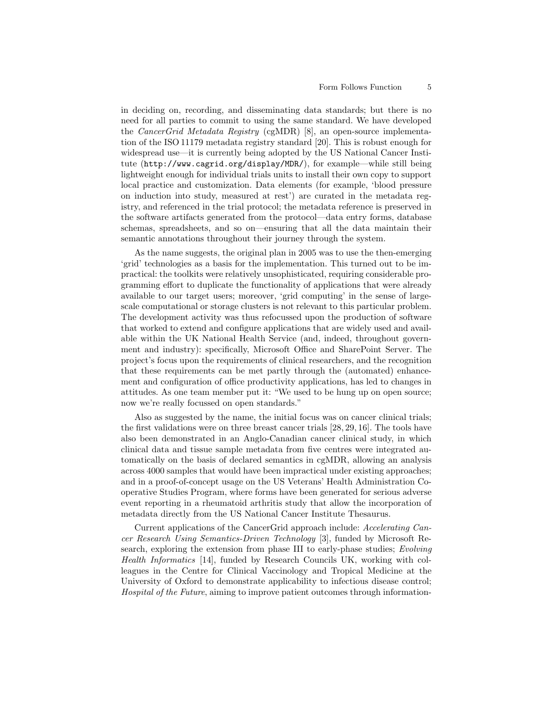in deciding on, recording, and disseminating data standards; but there is no need for all parties to commit to using the same standard. We have developed the CancerGrid Metadata Registry (cgMDR) [8], an open-source implementation of the ISO 11179 metadata registry standard [20]. This is robust enough for widespread use—it is currently being adopted by the US National Cancer Institute (http://www.cagrid.org/display/MDR/), for example—while still being lightweight enough for individual trials units to install their own copy to support local practice and customization. Data elements (for example, 'blood pressure on induction into study, measured at rest') are curated in the metadata registry, and referenced in the trial protocol; the metadata reference is preserved in the software artifacts generated from the protocol—data entry forms, database schemas, spreadsheets, and so on—ensuring that all the data maintain their semantic annotations throughout their journey through the system.

As the name suggests, the original plan in 2005 was to use the then-emerging 'grid' technologies as a basis for the implementation. This turned out to be impractical: the toolkits were relatively unsophisticated, requiring considerable programming effort to duplicate the functionality of applications that were already available to our target users; moreover, 'grid computing' in the sense of largescale computational or storage clusters is not relevant to this particular problem. The development activity was thus refocussed upon the production of software that worked to extend and configure applications that are widely used and available within the UK National Health Service (and, indeed, throughout government and industry): specifically, Microsoft Office and SharePoint Server. The project's focus upon the requirements of clinical researchers, and the recognition that these requirements can be met partly through the (automated) enhancement and configuration of office productivity applications, has led to changes in attitudes. As one team member put it: "We used to be hung up on open source; now we're really focussed on open standards."

Also as suggested by the name, the initial focus was on cancer clinical trials; the first validations were on three breast cancer trials [28, 29, 16]. The tools have also been demonstrated in an Anglo-Canadian cancer clinical study, in which clinical data and tissue sample metadata from five centres were integrated automatically on the basis of declared semantics in cgMDR, allowing an analysis across 4000 samples that would have been impractical under existing approaches; and in a proof-of-concept usage on the US Veterans' Health Administration Cooperative Studies Program, where forms have been generated for serious adverse event reporting in a rheumatoid arthritis study that allow the incorporation of metadata directly from the US National Cancer Institute Thesaurus.

Current applications of the CancerGrid approach include: Accelerating Cancer Research Using Semantics-Driven Technology [3], funded by Microsoft Research, exploring the extension from phase III to early-phase studies; Evolving Health Informatics [14], funded by Research Councils UK, working with colleagues in the Centre for Clinical Vaccinology and Tropical Medicine at the University of Oxford to demonstrate applicability to infectious disease control; Hospital of the Future, aiming to improve patient outcomes through information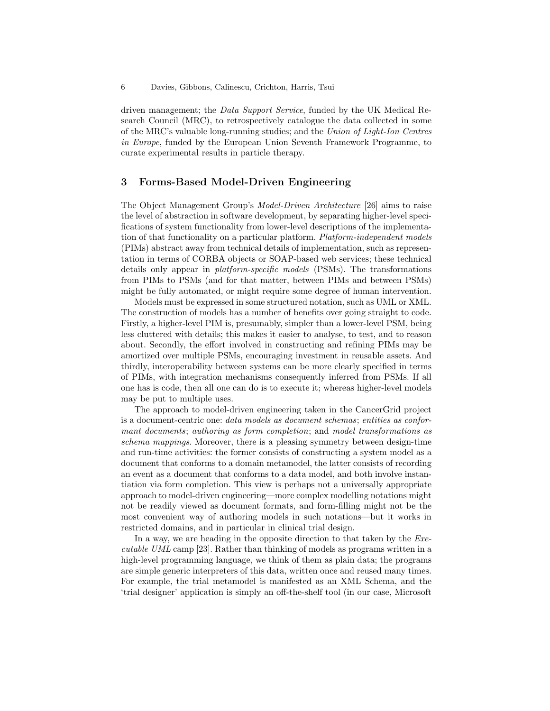driven management; the Data Support Service, funded by the UK Medical Research Council (MRC), to retrospectively catalogue the data collected in some of the MRC's valuable long-running studies; and the Union of Light-Ion Centres in Europe, funded by the European Union Seventh Framework Programme, to curate experimental results in particle therapy.

# 3 Forms-Based Model-Driven Engineering

The Object Management Group's Model-Driven Architecture [26] aims to raise the level of abstraction in software development, by separating higher-level specifications of system functionality from lower-level descriptions of the implementation of that functionality on a particular platform. Platform-independent models (PIMs) abstract away from technical details of implementation, such as representation in terms of CORBA objects or SOAP-based web services; these technical details only appear in platform-specific models (PSMs). The transformations from PIMs to PSMs (and for that matter, between PIMs and between PSMs) might be fully automated, or might require some degree of human intervention.

Models must be expressed in some structured notation, such as UML or XML. The construction of models has a number of benefits over going straight to code. Firstly, a higher-level PIM is, presumably, simpler than a lower-level PSM, being less cluttered with details; this makes it easier to analyse, to test, and to reason about. Secondly, the effort involved in constructing and refining PIMs may be amortized over multiple PSMs, encouraging investment in reusable assets. And thirdly, interoperability between systems can be more clearly specified in terms of PIMs, with integration mechanisms consequently inferred from PSMs. If all one has is code, then all one can do is to execute it; whereas higher-level models may be put to multiple uses.

The approach to model-driven engineering taken in the CancerGrid project is a document-centric one: data models as document schemas; entities as conformant documents; authoring as form completion; and model transformations as schema mappings. Moreover, there is a pleasing symmetry between design-time and run-time activities: the former consists of constructing a system model as a document that conforms to a domain metamodel, the latter consists of recording an event as a document that conforms to a data model, and both involve instantiation via form completion. This view is perhaps not a universally appropriate approach to model-driven engineering—more complex modelling notations might not be readily viewed as document formats, and form-filling might not be the most convenient way of authoring models in such notations—but it works in restricted domains, and in particular in clinical trial design.

In a way, we are heading in the opposite direction to that taken by the Executable UML camp [23]. Rather than thinking of models as programs written in a high-level programming language, we think of them as plain data; the programs are simple generic interpreters of this data, written once and reused many times. For example, the trial metamodel is manifested as an XML Schema, and the 'trial designer' application is simply an off-the-shelf tool (in our case, Microsoft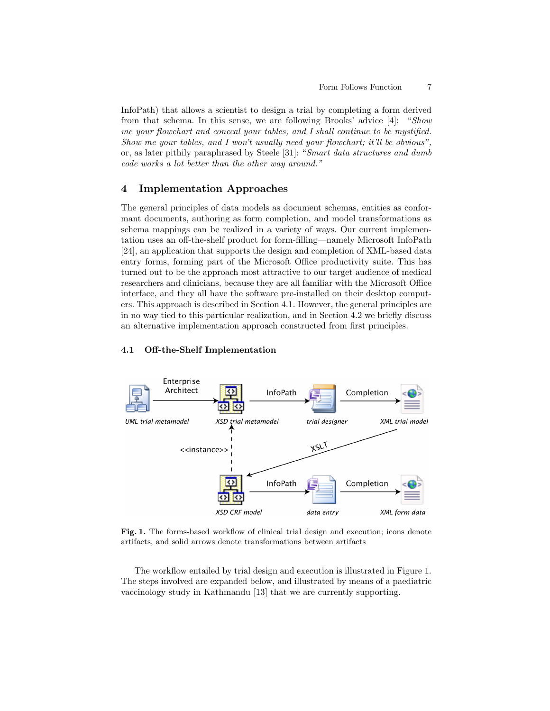InfoPath) that allows a scientist to design a trial by completing a form derived from that schema. In this sense, we are following Brooks' advice [4]: "Show me your flowchart and conceal your tables, and I shall continue to be mystified. Show me your tables, and I won't usually need your flowchart; it'll be obvious", or, as later pithily paraphrased by Steele [31]: "Smart data structures and dumb code works a lot better than the other way around."

# 4 Implementation Approaches

The general principles of data models as document schemas, entities as conformant documents, authoring as form completion, and model transformations as schema mappings can be realized in a variety of ways. Our current implementation uses an off-the-shelf product for form-filling—namely Microsoft InfoPath [24], an application that supports the design and completion of XML-based data entry forms, forming part of the Microsoft Office productivity suite. This has turned out to be the approach most attractive to our target audience of medical researchers and clinicians, because they are all familiar with the Microsoft Office interface, and they all have the software pre-installed on their desktop computers. This approach is described in Section 4.1. However, the general principles are in no way tied to this particular realization, and in Section 4.2 we briefly discuss an alternative implementation approach constructed from first principles.

### 4.1 Off-the-Shelf Implementation



Fig. 1. The forms-based workflow of clinical trial design and execution; icons denote artifacts, and solid arrows denote transformations between artifacts

The workflow entailed by trial design and execution is illustrated in Figure 1. The steps involved are expanded below, and illustrated by means of a paediatric vaccinology study in Kathmandu [13] that we are currently supporting.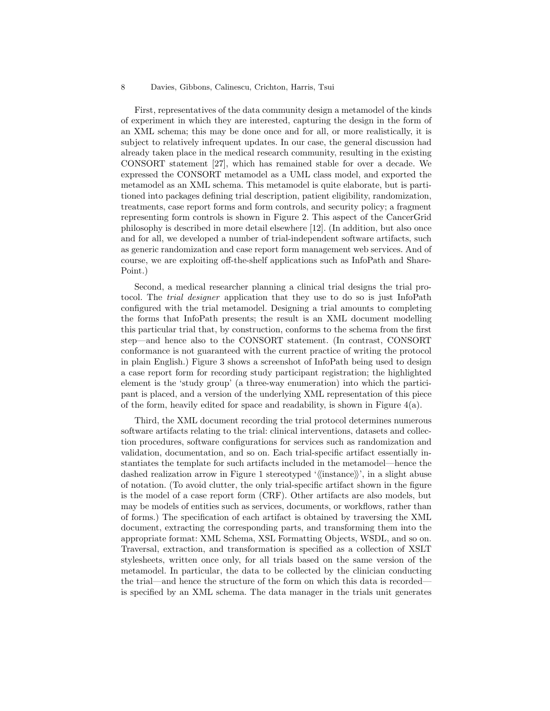First, representatives of the data community design a metamodel of the kinds of experiment in which they are interested, capturing the design in the form of an XML schema; this may be done once and for all, or more realistically, it is subject to relatively infrequent updates. In our case, the general discussion had already taken place in the medical research community, resulting in the existing CONSORT statement [27], which has remained stable for over a decade. We expressed the CONSORT metamodel as a UML class model, and exported the metamodel as an XML schema. This metamodel is quite elaborate, but is partitioned into packages defining trial description, patient eligibility, randomization, treatments, case report forms and form controls, and security policy; a fragment representing form controls is shown in Figure 2. This aspect of the CancerGrid philosophy is described in more detail elsewhere [12]. (In addition, but also once and for all, we developed a number of trial-independent software artifacts, such as generic randomization and case report form management web services. And of course, we are exploiting off-the-shelf applications such as InfoPath and Share-Point.)

Second, a medical researcher planning a clinical trial designs the trial protocol. The trial designer application that they use to do so is just InfoPath configured with the trial metamodel. Designing a trial amounts to completing the forms that InfoPath presents; the result is an XML document modelling this particular trial that, by construction, conforms to the schema from the first step—and hence also to the CONSORT statement. (In contrast, CONSORT conformance is not guaranteed with the current practice of writing the protocol in plain English.) Figure 3 shows a screenshot of InfoPath being used to design a case report form for recording study participant registration; the highlighted element is the 'study group' (a three-way enumeration) into which the participant is placed, and a version of the underlying XML representation of this piece of the form, heavily edited for space and readability, is shown in Figure  $4(a)$ .

Third, the XML document recording the trial protocol determines numerous software artifacts relating to the trial: clinical interventions, datasets and collection procedures, software configurations for services such as randomization and validation, documentation, and so on. Each trial-specific artifact essentially instantiates the template for such artifacts included in the metamodel—hence the dashed realization arrow in Figure 1 stereotyped ' $\langle$  instance $\rangle$ ', in a slight abuse of notation. (To avoid clutter, the only trial-specific artifact shown in the figure is the model of a case report form (CRF). Other artifacts are also models, but may be models of entities such as services, documents, or workflows, rather than of forms.) The specification of each artifact is obtained by traversing the XML document, extracting the corresponding parts, and transforming them into the appropriate format: XML Schema, XSL Formatting Objects, WSDL, and so on. Traversal, extraction, and transformation is specified as a collection of XSLT stylesheets, written once only, for all trials based on the same version of the metamodel. In particular, the data to be collected by the clinician conducting the trial—and hence the structure of the form on which this data is recorded is specified by an XML schema. The data manager in the trials unit generates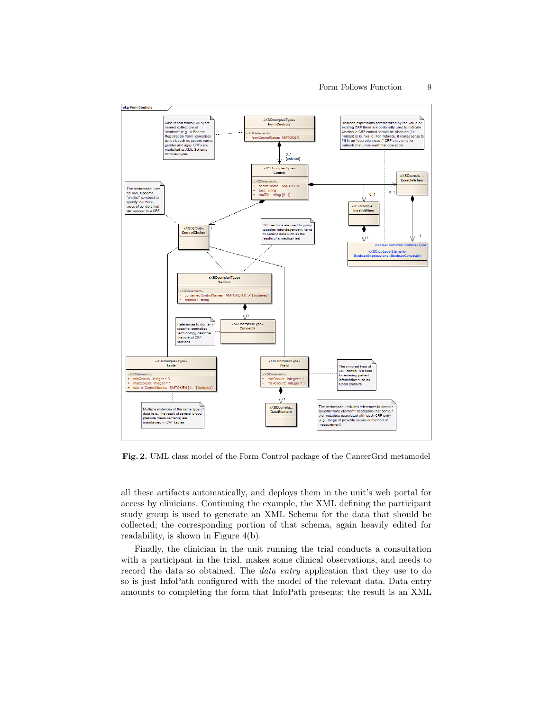

Fig. 2. UML class model of the Form Control package of the CancerGrid metamodel

all these artifacts automatically, and deploys them in the unit's web portal for access by clinicians. Continuing the example, the XML defining the participant study group is used to generate an XML Schema for the data that should be collected; the corresponding portion of that schema, again heavily edited for readability, is shown in Figure 4(b).

Finally, the clinician in the unit running the trial conducts a consultation with a participant in the trial, makes some clinical observations, and needs to record the data so obtained. The *data entry* application that they use to do so is just InfoPath configured with the model of the relevant data. Data entry amounts to completing the form that InfoPath presents; the result is an XML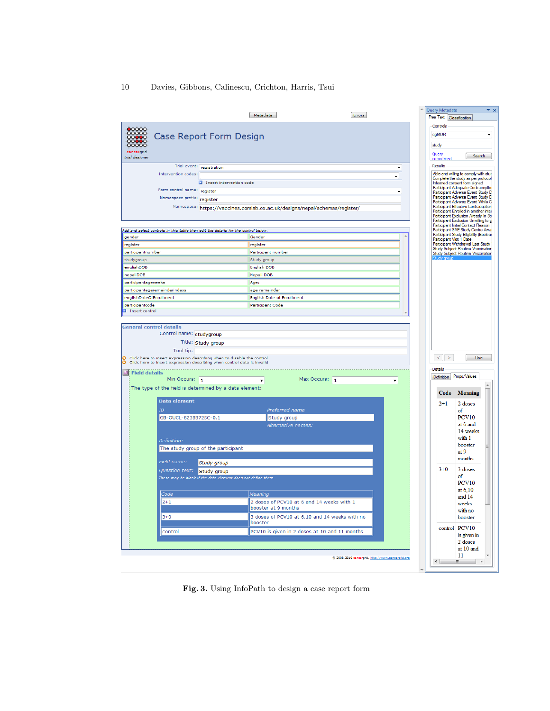|                                                                                                                                                                                                                                                                                                                                                                                             | Metadata                                                                    | Errors                                            | Query Metadata<br>$\overline{\phantom{a}}$ $\times$<br>Free Text Classification                                                                                                                                   |
|---------------------------------------------------------------------------------------------------------------------------------------------------------------------------------------------------------------------------------------------------------------------------------------------------------------------------------------------------------------------------------------------|-----------------------------------------------------------------------------|---------------------------------------------------|-------------------------------------------------------------------------------------------------------------------------------------------------------------------------------------------------------------------|
| Case Report Form Design<br>cancergrid<br>trial designer                                                                                                                                                                                                                                                                                                                                     |                                                                             |                                                   | Controls<br>cgMDR<br>٠<br>study<br>Query<br>Search<br>completed                                                                                                                                                   |
| Trial event: registration                                                                                                                                                                                                                                                                                                                                                                   |                                                                             |                                                   | <b>Results</b>                                                                                                                                                                                                    |
| Intervention codes:                                                                                                                                                                                                                                                                                                                                                                         |                                                                             | ÷                                                 | Able and willing to comply with stud<br>Complete the study as per protocol                                                                                                                                        |
| Insert intervention code                                                                                                                                                                                                                                                                                                                                                                    |                                                                             |                                                   | Informed consent form signed                                                                                                                                                                                      |
| Form control name: register                                                                                                                                                                                                                                                                                                                                                                 |                                                                             | ٠                                                 | Participant Adequate Contraceptio<br>Participant Adverse Event Study D                                                                                                                                            |
| Namespace prefix: register                                                                                                                                                                                                                                                                                                                                                                  |                                                                             |                                                   | Participant Adverse Event Study D<br>Participant Adverse Event While C                                                                                                                                            |
|                                                                                                                                                                                                                                                                                                                                                                                             | Namespace: https://vaccines.comlab.ox.ac.uk/designs/nepal/schemas/register/ |                                                   | Participant Effective Contraception<br>Participant Enrolled in another inter<br>Participant Exclusion Already In Sti<br>Participant Exclusion Unwilling to g<br>Participant Initial Contact Reason                |
| Add and select controls in this table then edit the details for the control below.                                                                                                                                                                                                                                                                                                          |                                                                             |                                                   | Participant SAE Study Centre Awa                                                                                                                                                                                  |
| gender                                                                                                                                                                                                                                                                                                                                                                                      | Gender                                                                      |                                                   | Participant Study Eligibility (Boolear<br>Participant Visit 1 Date                                                                                                                                                |
| register                                                                                                                                                                                                                                                                                                                                                                                    | register                                                                    |                                                   | Participant Withdrawal Last Study<br>Study Subject Routine Vaccination                                                                                                                                            |
| participantnumber                                                                                                                                                                                                                                                                                                                                                                           | Participant number                                                          |                                                   | Study Subject Routine Vaccination                                                                                                                                                                                 |
| studygroup                                                                                                                                                                                                                                                                                                                                                                                  | Study group                                                                 |                                                   |                                                                                                                                                                                                                   |
| englishDOB                                                                                                                                                                                                                                                                                                                                                                                  | English DOB                                                                 |                                                   |                                                                                                                                                                                                                   |
| nepaliDOB                                                                                                                                                                                                                                                                                                                                                                                   | Nepali DOB                                                                  |                                                   |                                                                                                                                                                                                                   |
| participantageweeks                                                                                                                                                                                                                                                                                                                                                                         | Age:                                                                        |                                                   |                                                                                                                                                                                                                   |
| participantageremainderindays                                                                                                                                                                                                                                                                                                                                                               | age remainder                                                               |                                                   |                                                                                                                                                                                                                   |
| englishDateOfEnrollment                                                                                                                                                                                                                                                                                                                                                                     | <b>English Date of Enrollment</b>                                           |                                                   |                                                                                                                                                                                                                   |
| participantcode                                                                                                                                                                                                                                                                                                                                                                             | Participant Code                                                            |                                                   |                                                                                                                                                                                                                   |
| Insert control                                                                                                                                                                                                                                                                                                                                                                              |                                                                             |                                                   |                                                                                                                                                                                                                   |
| Title: Study group<br>Tool tip:<br>Click here to insert expression describing when to disable the control<br>Click here to insert expression describing when control data is invalid<br>Field details<br>Min Occurs: 1<br>The type of the field is determined by a data element:<br><b>Data element</b><br>ID<br>GB-OUCL-823BB725C-0.1<br>Definition:<br>The study group of the participant | Max Occurs: 1<br>٠<br>Preferred name<br>Study group<br>Alternative names:   | ٠                                                 | $\vert \vert \vert >$<br>Use<br><b>Details</b><br>Definition Props/Values<br>Â<br>Code<br>Meaning<br>$2 + 1$<br>2 doses<br>of<br>PCV <sub>10</sub><br>at 6 and<br>14 weeks<br>with 1<br>booster<br>at 9<br>months |
| Field name:<br>Study group                                                                                                                                                                                                                                                                                                                                                                  |                                                                             |                                                   |                                                                                                                                                                                                                   |
| Question text:<br>Study group                                                                                                                                                                                                                                                                                                                                                               |                                                                             |                                                   | $3 + 0$<br>3 doses                                                                                                                                                                                                |
| These may be blank if the data element does not define them.                                                                                                                                                                                                                                                                                                                                |                                                                             |                                                   | of<br>PCV10<br>at 6,10                                                                                                                                                                                            |
| Code                                                                                                                                                                                                                                                                                                                                                                                        | Meaning                                                                     |                                                   | and 14                                                                                                                                                                                                            |
| $2 + 1$                                                                                                                                                                                                                                                                                                                                                                                     | 2 doses of PCV10 at 6 and 14 weeks with 1                                   |                                                   | weeks                                                                                                                                                                                                             |
|                                                                                                                                                                                                                                                                                                                                                                                             | booster at 9 months                                                         |                                                   | with no                                                                                                                                                                                                           |
| $3 + 0$                                                                                                                                                                                                                                                                                                                                                                                     | 3 doses of PCV10 at 6,10 and 14 weeks with no<br>booster                    |                                                   | booster<br>control PCV10                                                                                                                                                                                          |
| control                                                                                                                                                                                                                                                                                                                                                                                     | PCV10 is given in 2 doses at 10 and 11 months                               |                                                   | is given in<br>2 doses                                                                                                                                                                                            |
|                                                                                                                                                                                                                                                                                                                                                                                             |                                                                             | @ 2008-2010 cancergrid, http://www.cancergrid.org | at 10 and<br>11<br>$\left  \cdot \right $<br>Ш                                                                                                                                                                    |

Fig. 3. Using InfoPath to design a case report form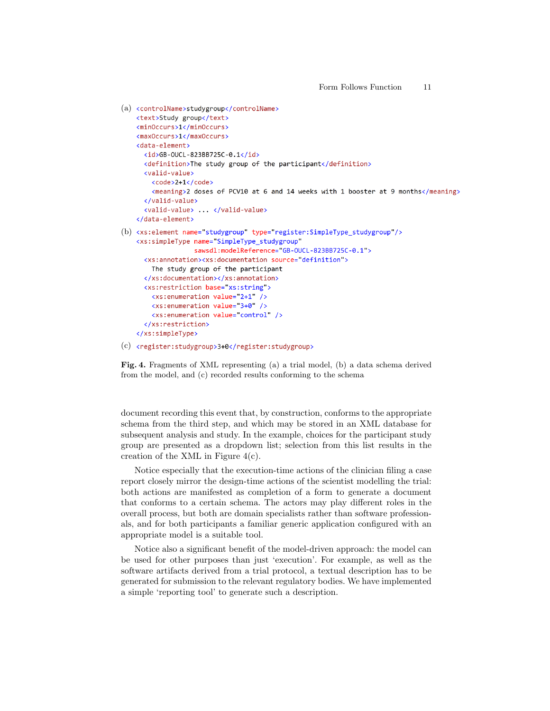```
(a) <controlName>studygroup</controlName>
   <text>Study group</text>
   <minOccurs>1</minOccurs>
   <maxOccurs>1</maxOccurs>
   <data-element>
     <id>GB-OUCL-823BB725C-0.1</id>
     <definition>The study group of the participant</definition>
     <valid-value>
       <code>2+1</code>
        <meaning>2 doses of PCV10 at 6 and 14 weeks with 1 booster at 9 months</meaning>
     \langle/valid-value>
      <valid-value> ... </valid-value>
   </data-element>
(b) <xs:element name="studygroup" type="register:SimpleType_studygroup"/>
   <xs:simpleType name="SimpleType_studygroup"
                   sawsdl:modelReference="GB-OUCL-823BB725C-0.1">
      <xs:annotation><xs:documentation source="definition">
        The study group of the participant
     </xs:documentation></xs:annotation>
      <xs:restriction base="xs:string">
        <xs:enumeration value="2+1" />
       <xs:enumeration value="3+0" />
       <xs:enumeration value="control" />
      </xs:restriction>
   </xs:simpleType>
```
(c) <register:studygroup>3+0</register:studygroup>

Fig. 4. Fragments of XML representing (a) a trial model, (b) a data schema derived from the model, and (c) recorded results conforming to the schema

document recording this event that, by construction, conforms to the appropriate schema from the third step, and which may be stored in an XML database for subsequent analysis and study. In the example, choices for the participant study group are presented as a dropdown list; selection from this list results in the creation of the XML in Figure 4(c).

Notice especially that the execution-time actions of the clinician filing a case report closely mirror the design-time actions of the scientist modelling the trial: both actions are manifested as completion of a form to generate a document that conforms to a certain schema. The actors may play different roles in the overall process, but both are domain specialists rather than software professionals, and for both participants a familiar generic application configured with an appropriate model is a suitable tool.

Notice also a significant benefit of the model-driven approach: the model can be used for other purposes than just 'execution'. For example, as well as the software artifacts derived from a trial protocol, a textual description has to be generated for submission to the relevant regulatory bodies. We have implemented a simple 'reporting tool' to generate such a description.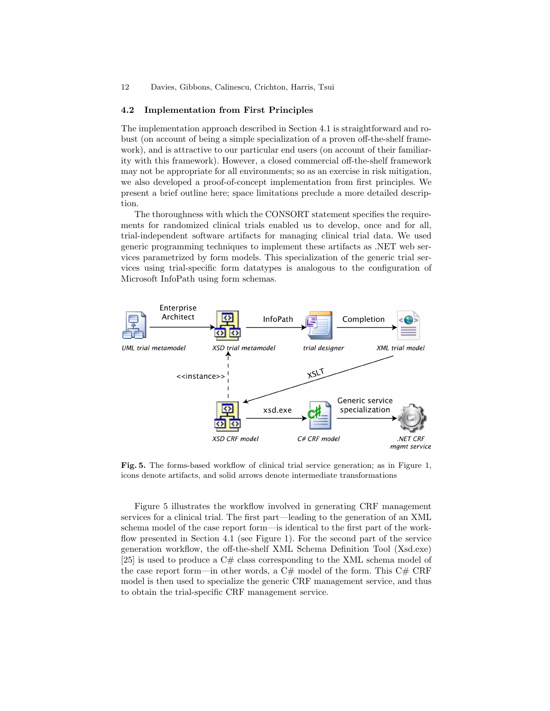### 4.2 Implementation from First Principles

The implementation approach described in Section 4.1 is straightforward and robust (on account of being a simple specialization of a proven off-the-shelf framework), and is attractive to our particular end users (on account of their familiarity with this framework). However, a closed commercial off-the-shelf framework may not be appropriate for all environments; so as an exercise in risk mitigation, we also developed a proof-of-concept implementation from first principles. We present a brief outline here; space limitations preclude a more detailed description.

The thoroughness with which the CONSORT statement specifies the requirements for randomized clinical trials enabled us to develop, once and for all, trial-independent software artifacts for managing clinical trial data. We used generic programming techniques to implement these artifacts as .NET web services parametrized by form models. This specialization of the generic trial services using trial-specific form datatypes is analogous to the configuration of Microsoft InfoPath using form schemas.



Fig. 5. The forms-based workflow of clinical trial service generation; as in Figure 1, icons denote artifacts, and solid arrows denote intermediate transformations

Figure 5 illustrates the workflow involved in generating CRF management services for a clinical trial. The first part—leading to the generation of an XML schema model of the case report form—is identical to the first part of the workflow presented in Section 4.1 (see Figure 1). For the second part of the service generation workflow, the off-the-shelf XML Schema Definition Tool (Xsd.exe) [25] is used to produce a  $C#$  class corresponding to the XML schema model of the case report form—in other words, a  $C#$  model of the form. This  $C#$  CRF model is then used to specialize the generic CRF management service, and thus to obtain the trial-specific CRF management service.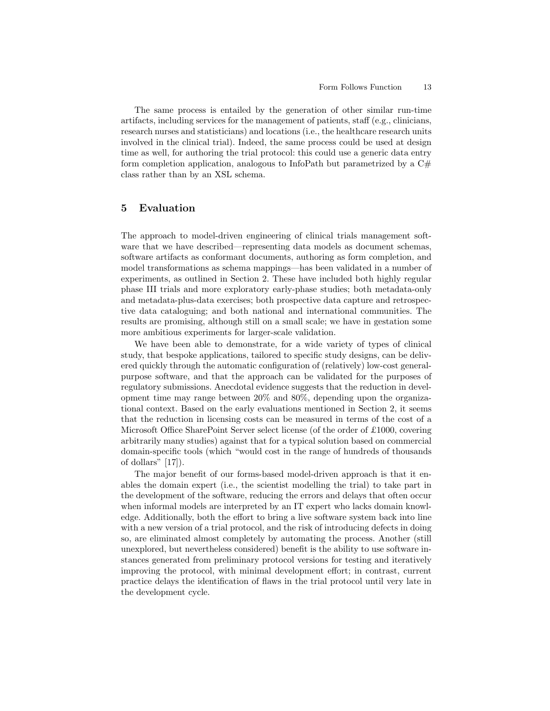The same process is entailed by the generation of other similar run-time artifacts, including services for the management of patients, staff (e.g., clinicians, research nurses and statisticians) and locations (i.e., the healthcare research units involved in the clinical trial). Indeed, the same process could be used at design time as well, for authoring the trial protocol: this could use a generic data entry form completion application, analogous to InfoPath but parametrized by a  $C#$ class rather than by an XSL schema.

# 5 Evaluation

The approach to model-driven engineering of clinical trials management software that we have described—representing data models as document schemas, software artifacts as conformant documents, authoring as form completion, and model transformations as schema mappings—has been validated in a number of experiments, as outlined in Section 2. These have included both highly regular phase III trials and more exploratory early-phase studies; both metadata-only and metadata-plus-data exercises; both prospective data capture and retrospective data cataloguing; and both national and international communities. The results are promising, although still on a small scale; we have in gestation some more ambitious experiments for larger-scale validation.

We have been able to demonstrate, for a wide variety of types of clinical study, that bespoke applications, tailored to specific study designs, can be delivered quickly through the automatic configuration of (relatively) low-cost generalpurpose software, and that the approach can be validated for the purposes of regulatory submissions. Anecdotal evidence suggests that the reduction in development time may range between 20% and 80%, depending upon the organizational context. Based on the early evaluations mentioned in Section 2, it seems that the reduction in licensing costs can be measured in terms of the cost of a Microsoft Office SharePoint Server select license (of the order of £1000, covering arbitrarily many studies) against that for a typical solution based on commercial domain-specific tools (which "would cost in the range of hundreds of thousands of dollars" [17]).

The major benefit of our forms-based model-driven approach is that it enables the domain expert (i.e., the scientist modelling the trial) to take part in the development of the software, reducing the errors and delays that often occur when informal models are interpreted by an IT expert who lacks domain knowledge. Additionally, both the effort to bring a live software system back into line with a new version of a trial protocol, and the risk of introducing defects in doing so, are eliminated almost completely by automating the process. Another (still unexplored, but nevertheless considered) benefit is the ability to use software instances generated from preliminary protocol versions for testing and iteratively improving the protocol, with minimal development effort; in contrast, current practice delays the identification of flaws in the trial protocol until very late in the development cycle.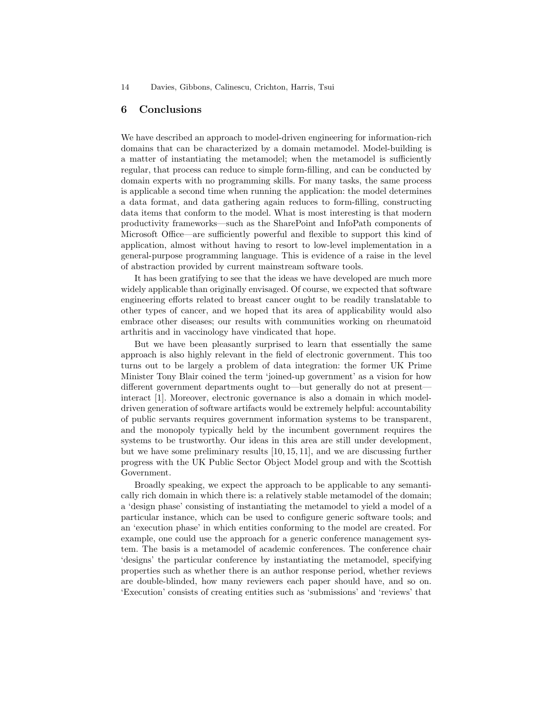# 6 Conclusions

We have described an approach to model-driven engineering for information-rich domains that can be characterized by a domain metamodel. Model-building is a matter of instantiating the metamodel; when the metamodel is sufficiently regular, that process can reduce to simple form-filling, and can be conducted by domain experts with no programming skills. For many tasks, the same process is applicable a second time when running the application: the model determines a data format, and data gathering again reduces to form-filling, constructing data items that conform to the model. What is most interesting is that modern productivity frameworks—such as the SharePoint and InfoPath components of Microsoft Office—are sufficiently powerful and flexible to support this kind of application, almost without having to resort to low-level implementation in a general-purpose programming language. This is evidence of a raise in the level of abstraction provided by current mainstream software tools.

It has been gratifying to see that the ideas we have developed are much more widely applicable than originally envisaged. Of course, we expected that software engineering efforts related to breast cancer ought to be readily translatable to other types of cancer, and we hoped that its area of applicability would also embrace other diseases; our results with communities working on rheumatoid arthritis and in vaccinology have vindicated that hope.

But we have been pleasantly surprised to learn that essentially the same approach is also highly relevant in the field of electronic government. This too turns out to be largely a problem of data integration: the former UK Prime Minister Tony Blair coined the term 'joined-up government' as a vision for how different government departments ought to—but generally do not at present interact [1]. Moreover, electronic governance is also a domain in which modeldriven generation of software artifacts would be extremely helpful: accountability of public servants requires government information systems to be transparent, and the monopoly typically held by the incumbent government requires the systems to be trustworthy. Our ideas in this area are still under development, but we have some preliminary results [10, 15, 11], and we are discussing further progress with the UK Public Sector Object Model group and with the Scottish Government.

Broadly speaking, we expect the approach to be applicable to any semantically rich domain in which there is: a relatively stable metamodel of the domain; a 'design phase' consisting of instantiating the metamodel to yield a model of a particular instance, which can be used to configure generic software tools; and an 'execution phase' in which entities conforming to the model are created. For example, one could use the approach for a generic conference management system. The basis is a metamodel of academic conferences. The conference chair 'designs' the particular conference by instantiating the metamodel, specifying properties such as whether there is an author response period, whether reviews are double-blinded, how many reviewers each paper should have, and so on. 'Execution' consists of creating entities such as 'submissions' and 'reviews' that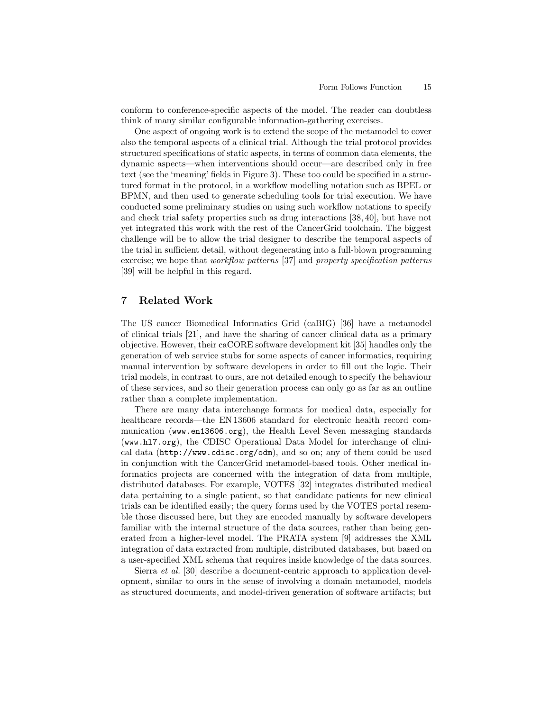conform to conference-specific aspects of the model. The reader can doubtless think of many similar configurable information-gathering exercises.

One aspect of ongoing work is to extend the scope of the metamodel to cover also the temporal aspects of a clinical trial. Although the trial protocol provides structured specifications of static aspects, in terms of common data elements, the dynamic aspects—when interventions should occur—are described only in free text (see the 'meaning' fields in Figure 3). These too could be specified in a structured format in the protocol, in a workflow modelling notation such as BPEL or BPMN, and then used to generate scheduling tools for trial execution. We have conducted some preliminary studies on using such workflow notations to specify and check trial safety properties such as drug interactions [38, 40], but have not yet integrated this work with the rest of the CancerGrid toolchain. The biggest challenge will be to allow the trial designer to describe the temporal aspects of the trial in sufficient detail, without degenerating into a full-blown programming exercise; we hope that workflow patterns [37] and property specification patterns [39] will be helpful in this regard.

## 7 Related Work

The US cancer Biomedical Informatics Grid (caBIG) [36] have a metamodel of clinical trials [21], and have the sharing of cancer clinical data as a primary objective. However, their caCORE software development kit [35] handles only the generation of web service stubs for some aspects of cancer informatics, requiring manual intervention by software developers in order to fill out the logic. Their trial models, in contrast to ours, are not detailed enough to specify the behaviour of these services, and so their generation process can only go as far as an outline rather than a complete implementation.

There are many data interchange formats for medical data, especially for healthcare records—the EN 13606 standard for electronic health record communication (www.en13606.org), the Health Level Seven messaging standards (www.hl7.org), the CDISC Operational Data Model for interchange of clinical data (http://www.cdisc.org/odm), and so on; any of them could be used in conjunction with the CancerGrid metamodel-based tools. Other medical informatics projects are concerned with the integration of data from multiple, distributed databases. For example, VOTES [32] integrates distributed medical data pertaining to a single patient, so that candidate patients for new clinical trials can be identified easily; the query forms used by the VOTES portal resemble those discussed here, but they are encoded manually by software developers familiar with the internal structure of the data sources, rather than being generated from a higher-level model. The PRATA system [9] addresses the XML integration of data extracted from multiple, distributed databases, but based on a user-specified XML schema that requires inside knowledge of the data sources.

Sierra et al. [30] describe a document-centric approach to application development, similar to ours in the sense of involving a domain metamodel, models as structured documents, and model-driven generation of software artifacts; but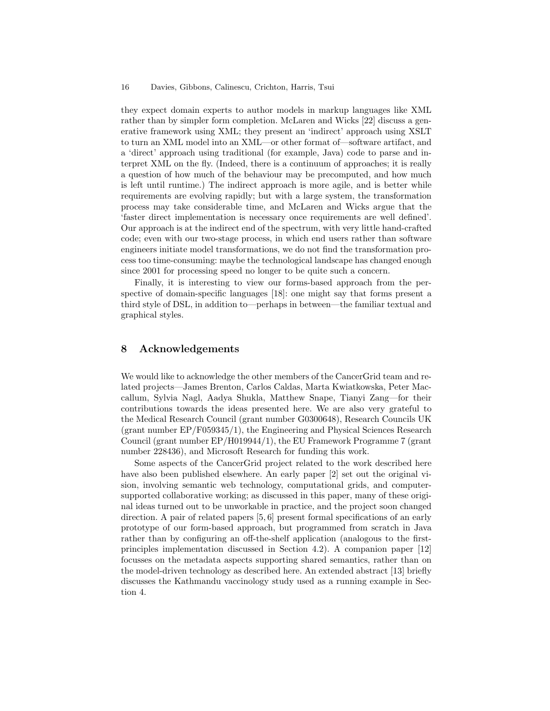they expect domain experts to author models in markup languages like XML rather than by simpler form completion. McLaren and Wicks [22] discuss a generative framework using XML; they present an 'indirect' approach using XSLT to turn an XML model into an XML—or other format of—software artifact, and a 'direct' approach using traditional (for example, Java) code to parse and interpret XML on the fly. (Indeed, there is a continuum of approaches; it is really a question of how much of the behaviour may be precomputed, and how much is left until runtime.) The indirect approach is more agile, and is better while requirements are evolving rapidly; but with a large system, the transformation process may take considerable time, and McLaren and Wicks argue that the 'faster direct implementation is necessary once requirements are well defined'. Our approach is at the indirect end of the spectrum, with very little hand-crafted code; even with our two-stage process, in which end users rather than software engineers initiate model transformations, we do not find the transformation process too time-consuming: maybe the technological landscape has changed enough since 2001 for processing speed no longer to be quite such a concern.

Finally, it is interesting to view our forms-based approach from the perspective of domain-specific languages [18]: one might say that forms present a third style of DSL, in addition to—perhaps in between—the familiar textual and graphical styles.

### 8 Acknowledgements

We would like to acknowledge the other members of the CancerGrid team and related projects—James Brenton, Carlos Caldas, Marta Kwiatkowska, Peter Maccallum, Sylvia Nagl, Aadya Shukla, Matthew Snape, Tianyi Zang—for their contributions towards the ideas presented here. We are also very grateful to the Medical Research Council (grant number G0300648), Research Councils UK (grant number EP/F059345/1), the Engineering and Physical Sciences Research Council (grant number EP/H019944/1), the EU Framework Programme 7 (grant number 228436), and Microsoft Research for funding this work.

Some aspects of the CancerGrid project related to the work described here have also been published elsewhere. An early paper [2] set out the original vision, involving semantic web technology, computational grids, and computersupported collaborative working; as discussed in this paper, many of these original ideas turned out to be unworkable in practice, and the project soon changed direction. A pair of related papers [5, 6] present formal specifications of an early prototype of our form-based approach, but programmed from scratch in Java rather than by configuring an off-the-shelf application (analogous to the firstprinciples implementation discussed in Section 4.2). A companion paper [12] focusses on the metadata aspects supporting shared semantics, rather than on the model-driven technology as described here. An extended abstract [13] briefly discusses the Kathmandu vaccinology study used as a running example in Section 4.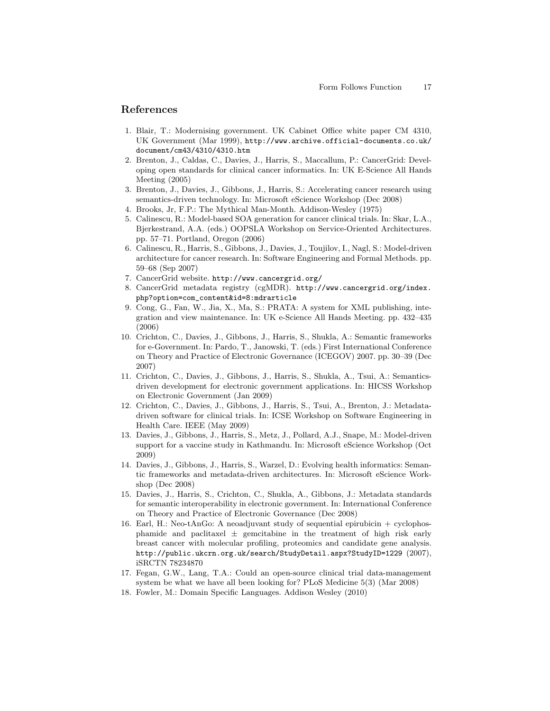# References

- 1. Blair, T.: Modernising government. UK Cabinet Office white paper CM 4310, UK Government (Mar 1999), http://www.archive.official-documents.co.uk/ document/cm43/4310/4310.htm
- 2. Brenton, J., Caldas, C., Davies, J., Harris, S., Maccallum, P.: CancerGrid: Developing open standards for clinical cancer informatics. In: UK E-Science All Hands Meeting (2005)
- 3. Brenton, J., Davies, J., Gibbons, J., Harris, S.: Accelerating cancer research using semantics-driven technology. In: Microsoft eScience Workshop (Dec 2008)
- 4. Brooks, Jr, F.P.: The Mythical Man-Month. Addison-Wesley (1975)
- 5. Calinescu, R.: Model-based SOA generation for cancer clinical trials. In: Skar, L.A., Bjerkestrand, A.A. (eds.) OOPSLA Workshop on Service-Oriented Architectures. pp. 57–71. Portland, Oregon (2006)
- 6. Calinescu, R., Harris, S., Gibbons, J., Davies, J., Toujilov, I., Nagl, S.: Model-driven architecture for cancer research. In: Software Engineering and Formal Methods. pp. 59–68 (Sep 2007)
- 7. CancerGrid website. http://www.cancergrid.org/
- 8. CancerGrid metadata registry (cgMDR). http://www.cancergrid.org/index. php?option=com\_content&id=8:mdrarticle
- 9. Cong, G., Fan, W., Jia, X., Ma, S.: PRATA: A system for XML publishing, integration and view maintenance. In: UK e-Science All Hands Meeting. pp. 432–435 (2006)
- 10. Crichton, C., Davies, J., Gibbons, J., Harris, S., Shukla, A.: Semantic frameworks for e-Government. In: Pardo, T., Janowski, T. (eds.) First International Conference on Theory and Practice of Electronic Governance (ICEGOV) 2007. pp. 30–39 (Dec 2007)
- 11. Crichton, C., Davies, J., Gibbons, J., Harris, S., Shukla, A., Tsui, A.: Semanticsdriven development for electronic government applications. In: HICSS Workshop on Electronic Government (Jan 2009)
- 12. Crichton, C., Davies, J., Gibbons, J., Harris, S., Tsui, A., Brenton, J.: Metadatadriven software for clinical trials. In: ICSE Workshop on Software Engineering in Health Care. IEEE (May 2009)
- 13. Davies, J., Gibbons, J., Harris, S., Metz, J., Pollard, A.J., Snape, M.: Model-driven support for a vaccine study in Kathmandu. In: Microsoft eScience Workshop (Oct 2009)
- 14. Davies, J., Gibbons, J., Harris, S., Warzel, D.: Evolving health informatics: Semantic frameworks and metadata-driven architectures. In: Microsoft eScience Workshop (Dec 2008)
- 15. Davies, J., Harris, S., Crichton, C., Shukla, A., Gibbons, J.: Metadata standards for semantic interoperability in electronic government. In: International Conference on Theory and Practice of Electronic Governance (Dec 2008)
- 16. Earl, H.: Neo-tAnGo: A neoadjuvant study of sequential epirubicin + cyclophosphamide and paclitaxel  $\pm$  gemcitabine in the treatment of high risk early breast cancer with molecular profiling, proteomics and candidate gene analysis. http://public.ukcrn.org.uk/search/StudyDetail.aspx?StudyID=1229 (2007), iSRCTN 78234870
- 17. Fegan, G.W., Lang, T.A.: Could an open-source clinical trial data-management system be what we have all been looking for? PLoS Medicine 5(3) (Mar 2008)
- 18. Fowler, M.: Domain Specific Languages. Addison Wesley (2010)